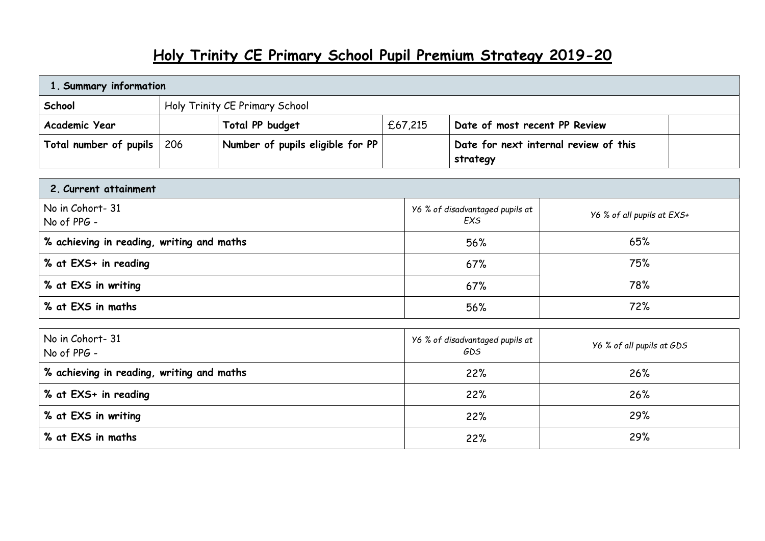## **Holy Trinity CE Primary School Pupil Premium Strategy 2019-20**

| 1. Summary information     |                                |                                  |         |                                       |  |  |
|----------------------------|--------------------------------|----------------------------------|---------|---------------------------------------|--|--|
| School                     | Holy Trinity CE Primary School |                                  |         |                                       |  |  |
| Academic Year              |                                | Total PP budget                  | £67,215 | Date of most recent PP Review         |  |  |
| Total number of pupils 206 |                                | Number of pupils eligible for PP |         | Date for next internal review of this |  |  |
|                            |                                |                                  |         | strategy                              |  |  |

| 2. Current attainment                            |                                        |                            |
|--------------------------------------------------|----------------------------------------|----------------------------|
| No in Cohort-31<br>$\big $ No of PPG -           | Y6 % of disadvantaged pupils at<br>EXS | Y6 % of all pupils at EXS+ |
| $\mid$ % achieving in reading, writing and maths | 56%                                    | 65%                        |
| $\frac{1}{2}$ % at EXS+ in reading               | 67%                                    | 75%                        |
| % at EXS in writing                              | 67%                                    | 78%                        |
| % at EXS in maths                                | 56%                                    | 72%                        |

| No in Cohort-31<br>No of PPG -            | Y6 % of disadvantaged pupils at<br>GDS | Y6 % of all pupils at GDS |
|-------------------------------------------|----------------------------------------|---------------------------|
| % achieving in reading, writing and maths | 22%                                    | 26%                       |
| % at EXS+ in reading                      | 22%                                    | 26%                       |
| % at EXS in writing                       | 22%                                    | 29%                       |
| % at EXS in maths                         | 22%                                    | 29%                       |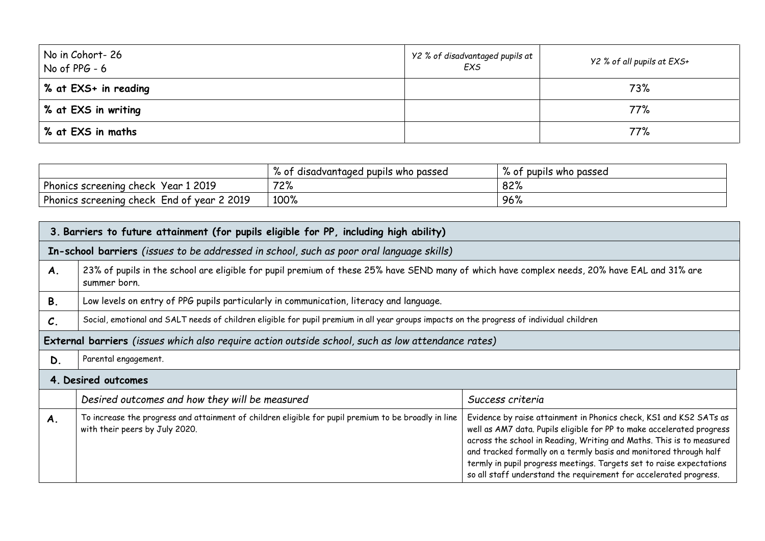| No in Cohort-26<br>No of $PPG - 6$ | Y2 % of disadvantaged pupils at<br>EXS | Y2 % of all pupils at EXS+ |
|------------------------------------|----------------------------------------|----------------------------|
| 8 at EXS+ in reading               |                                        | 73%                        |
| % at EXS in writing                |                                        | 77%                        |
| % at EXS in maths                  |                                        | 77%                        |

|                                                   | disadvantaged pupils who passed '<br>/。0† | $\mathsf{o}$<br>% of pupils who passed |
|---------------------------------------------------|-------------------------------------------|----------------------------------------|
| Phonics screening check<br>Year 1 2019            | 72%                                       | 82%                                    |
| Phonics screening check End of year?<br>2 2 0 1 9 | 100%                                      | 96%                                    |

|                 | 3. Barriers to future attainment (for pupils eligible for PP, including high ability)                                                                        |                                                                                                                                                                                                                                                                                                                                                                                                                                       |  |  |  |
|-----------------|--------------------------------------------------------------------------------------------------------------------------------------------------------------|---------------------------------------------------------------------------------------------------------------------------------------------------------------------------------------------------------------------------------------------------------------------------------------------------------------------------------------------------------------------------------------------------------------------------------------|--|--|--|
|                 | In-school barriers (issues to be addressed in school, such as poor oral language skills)                                                                     |                                                                                                                                                                                                                                                                                                                                                                                                                                       |  |  |  |
| A.              | 23% of pupils in the school are eligible for pupil premium of these 25% have SEND many of which have complex needs, 20% have EAL and 31% are<br>summer born. |                                                                                                                                                                                                                                                                                                                                                                                                                                       |  |  |  |
| <b>B.</b>       | Low levels on entry of PPG pupils particularly in communication, literacy and language.                                                                      |                                                                                                                                                                                                                                                                                                                                                                                                                                       |  |  |  |
| $\mathcal{C}$ . | Social, emotional and SALT needs of children eligible for pupil premium in all year groups impacts on the progress of individual children                    |                                                                                                                                                                                                                                                                                                                                                                                                                                       |  |  |  |
|                 | External barriers (issues which also require action outside school, such as low attendance rates)                                                            |                                                                                                                                                                                                                                                                                                                                                                                                                                       |  |  |  |
| D.              | Parental engagement.                                                                                                                                         |                                                                                                                                                                                                                                                                                                                                                                                                                                       |  |  |  |
|                 | 4. Desired outcomes                                                                                                                                          |                                                                                                                                                                                                                                                                                                                                                                                                                                       |  |  |  |
|                 | Desired outcomes and how they will be measured                                                                                                               | Success criteria                                                                                                                                                                                                                                                                                                                                                                                                                      |  |  |  |
| A.              | To increase the progress and attainment of children eligible for pupil premium to be broadly in line<br>with their peers by July 2020.                       | Evidence by raise attainment in Phonics check, KS1 and KS2 SATs as<br>well as AM7 data. Pupils eligible for PP to make accelerated progress<br>across the school in Reading, Writing and Maths. This is to measured<br>and tracked formally on a termly basis and monitored through half<br>termly in pupil progress meetings. Targets set to raise expectations<br>so all staff understand the requirement for accelerated progress. |  |  |  |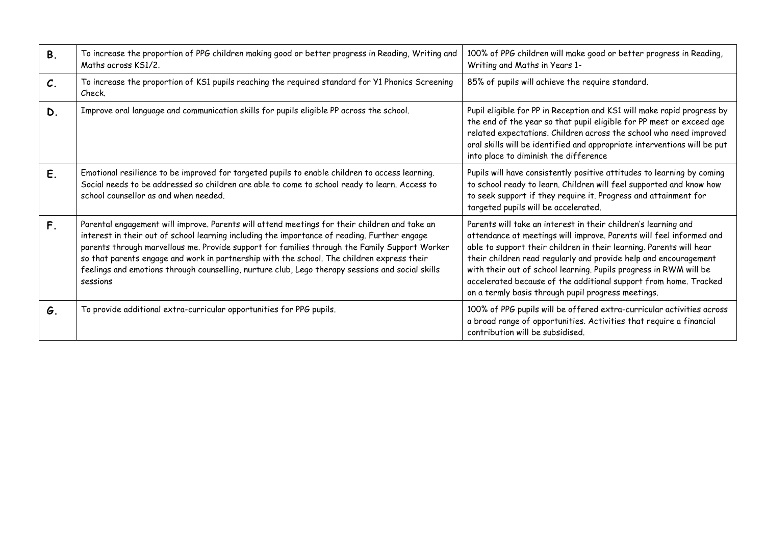| <b>B.</b>       | To increase the proportion of PPG children making good or better progress in Reading, Writing and<br>Maths across KS1/2.                                                                                                                                                                                                                                                                                                                                                                                     | 100% of PPG children will make good or better progress in Reading,<br>Writing and Maths in Years 1-                                                                                                                                                                                                                                                                                                                                                                             |
|-----------------|--------------------------------------------------------------------------------------------------------------------------------------------------------------------------------------------------------------------------------------------------------------------------------------------------------------------------------------------------------------------------------------------------------------------------------------------------------------------------------------------------------------|---------------------------------------------------------------------------------------------------------------------------------------------------------------------------------------------------------------------------------------------------------------------------------------------------------------------------------------------------------------------------------------------------------------------------------------------------------------------------------|
| $\mathcal{C}$ . | To increase the proportion of KS1 pupils reaching the required standard for Y1 Phonics Screening<br>Check.                                                                                                                                                                                                                                                                                                                                                                                                   | 85% of pupils will achieve the require standard.                                                                                                                                                                                                                                                                                                                                                                                                                                |
| D.              | Improve oral language and communication skills for pupils eligible PP across the school.                                                                                                                                                                                                                                                                                                                                                                                                                     | Pupil eligible for PP in Reception and KS1 will make rapid progress by<br>the end of the year so that pupil eligible for PP meet or exceed age<br>related expectations. Children across the school who need improved<br>oral skills will be identified and appropriate interventions will be put<br>into place to diminish the difference                                                                                                                                       |
| E.              | Emotional resilience to be improved for targeted pupils to enable children to access learning.<br>Social needs to be addressed so children are able to come to school ready to learn. Access to<br>school counsellor as and when needed.                                                                                                                                                                                                                                                                     | Pupils will have consistently positive attitudes to learning by coming<br>to school ready to learn. Children will feel supported and know how<br>to seek support if they require it. Progress and attainment for<br>targeted pupils will be accelerated.                                                                                                                                                                                                                        |
| F.              | Parental engagement will improve. Parents will attend meetings for their children and take an<br>interest in their out of school learning including the importance of reading. Further engage<br>parents through marvellous me. Provide support for families through the Family Support Worker<br>so that parents engage and work in partnership with the school. The children express their<br>feelings and emotions through counselling, nurture club, Lego therapy sessions and social skills<br>sessions | Parents will take an interest in their children's learning and<br>attendance at meetings will improve. Parents will feel informed and<br>able to support their children in their learning. Parents will hear<br>their children read regularly and provide help and encouragement<br>with their out of school learning. Pupils progress in RWM will be<br>accelerated because of the additional support from home. Tracked<br>on a termly basis through pupil progress meetings. |
| G.              | To provide additional extra-curricular opportunities for PPG pupils.                                                                                                                                                                                                                                                                                                                                                                                                                                         | 100% of PPG pupils will be offered extra-curricular activities across<br>a broad range of opportunities. Activities that require a financial<br>contribution will be subsidised.                                                                                                                                                                                                                                                                                                |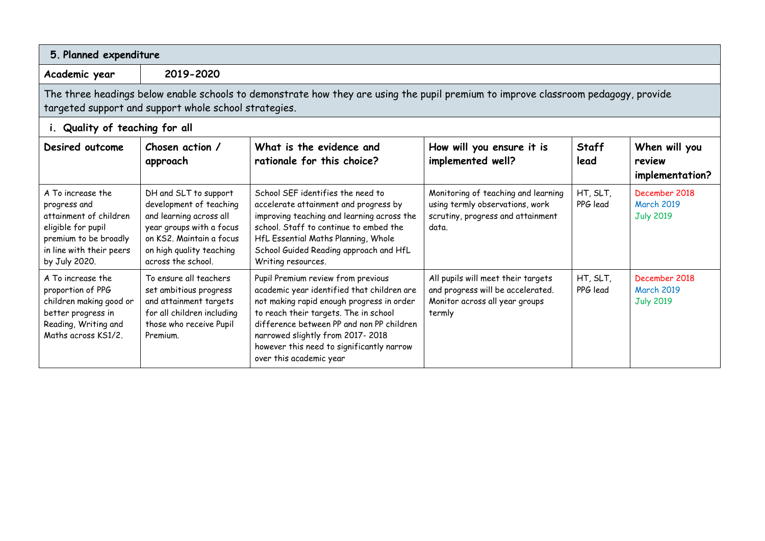| 5. Planned expenditure                                                                                                                                                                      |                                                                                                                                                                                       |                                                                                                                                                                                                                                                                                                                                 |                                                                                                                      |                      |                                                        |
|---------------------------------------------------------------------------------------------------------------------------------------------------------------------------------------------|---------------------------------------------------------------------------------------------------------------------------------------------------------------------------------------|---------------------------------------------------------------------------------------------------------------------------------------------------------------------------------------------------------------------------------------------------------------------------------------------------------------------------------|----------------------------------------------------------------------------------------------------------------------|----------------------|--------------------------------------------------------|
| Academic year                                                                                                                                                                               | 2019-2020                                                                                                                                                                             |                                                                                                                                                                                                                                                                                                                                 |                                                                                                                      |                      |                                                        |
| The three headings below enable schools to demonstrate how they are using the pupil premium to improve classroom pedagogy, provide<br>targeted support and support whole school strategies. |                                                                                                                                                                                       |                                                                                                                                                                                                                                                                                                                                 |                                                                                                                      |                      |                                                        |
| i. Quality of teaching for all                                                                                                                                                              |                                                                                                                                                                                       |                                                                                                                                                                                                                                                                                                                                 |                                                                                                                      |                      |                                                        |
| Desired outcome                                                                                                                                                                             | Chosen action /<br>approach                                                                                                                                                           | What is the evidence and<br>rationale for this choice?                                                                                                                                                                                                                                                                          | How will you ensure it is<br>implemented well?                                                                       | <b>Staff</b><br>lead | When will you<br>review<br>implementation?             |
| A To increase the<br>progress and<br>attainment of children<br>eligible for pupil<br>premium to be broadly<br>in line with their peers<br>by July 2020.                                     | DH and SLT to support<br>development of teaching<br>and learning across all<br>year groups with a focus<br>on KS2, Maintain a focus<br>on high quality teaching<br>across the school. | School SEF identifies the need to<br>accelerate attainment and progress by<br>improving teaching and learning across the<br>school. Staff to continue to embed the<br>HfL Essential Maths Planning, Whole<br>School Guided Reading approach and HfL<br>Writing resources.                                                       | Monitoring of teaching and learning<br>using termly observations, work<br>scrutiny, progress and attainment<br>data. | HT, SLT,<br>PPG lead | December 2018<br><b>March 2019</b><br><b>July 2019</b> |
| A To increase the<br>proportion of PPG<br>children making good or<br>better progress in<br>Reading, Writing and<br>Maths across KS1/2                                                       | To ensure all teachers<br>set ambitious progress<br>and attainment targets<br>for all children including<br>those who receive Pupil<br>Premium.                                       | Pupil Premium review from previous<br>academic year identified that children are<br>not making rapid enough progress in order<br>to reach their targets. The in school<br>difference between PP and non PP children<br>narrowed slightly from 2017-2018<br>however this need to significantly narrow<br>over this academic year | All pupils will meet their targets<br>and progress will be accelerated.<br>Monitor across all year groups<br>termly  | HT, SLT,<br>PPG lead | December 2018<br><b>March 2019</b><br><b>July 2019</b> |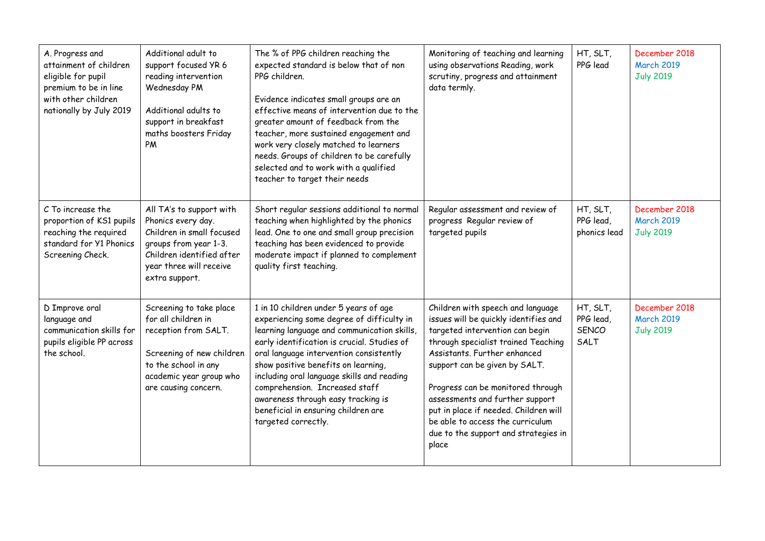| A. Progress and<br>attainment of children<br>eligible for pupil<br>premium to be in line<br>with other children<br>nationally by July 2019 | Additional adult to<br>support focused YR 6<br>reading intervention<br>Wednesday PM<br>Additional adults to<br>support in breakfast<br>maths boosters Friday<br>PM             | The % of PPG children reaching the<br>expected standard is below that of non<br>PPG children.<br>Evidence indicates small groups are an<br>effective means of intervention due to the<br>greater amount of feedback from the<br>teacher, more sustained engagement and<br>work very closely matched to learners<br>needs. Groups of children to be carefully<br>selected and to work with a qualified<br>teacher to target their needs                 | Monitoring of teaching and learning<br>using observations Reading, work<br>scrutiny, progress and attainment<br>data termly.                                                                                                                                                                                                                                                                                                | HT, SLT,<br>PPG lead                   | December 2018<br><b>March 2019</b><br><b>July 2019</b> |
|--------------------------------------------------------------------------------------------------------------------------------------------|--------------------------------------------------------------------------------------------------------------------------------------------------------------------------------|--------------------------------------------------------------------------------------------------------------------------------------------------------------------------------------------------------------------------------------------------------------------------------------------------------------------------------------------------------------------------------------------------------------------------------------------------------|-----------------------------------------------------------------------------------------------------------------------------------------------------------------------------------------------------------------------------------------------------------------------------------------------------------------------------------------------------------------------------------------------------------------------------|----------------------------------------|--------------------------------------------------------|
| C To increase the<br>proportion of KS1 pupils<br>reaching the required<br>standard for Y1 Phonics<br>Screening Check.                      | All TA's to support with<br>Phonics every day.<br>Children in small focused<br>groups from year 1-3.<br>Children identified after<br>year three will receive<br>extra support. | Short regular sessions additional to normal<br>teaching when highlighted by the phonics<br>lead. One to one and small group precision<br>teaching has been evidenced to provide<br>moderate impact if planned to complement<br>quality first teaching.                                                                                                                                                                                                 | Regular assessment and review of<br>progress Regular review of<br>targeted pupils                                                                                                                                                                                                                                                                                                                                           | HT, SLT,<br>PPG lead,<br>phonics lead  | December 2018<br><b>March 2019</b><br><b>July 2019</b> |
| D Improve oral<br>language and<br>communication skills for<br>pupils eligible PP across<br>the school.                                     | Screening to take place<br>for all children in<br>reception from SALT.<br>Screening of new children<br>to the school in any<br>academic year group who<br>are causing concern. | 1 in 10 children under 5 years of age<br>experiencing some degree of difficulty in<br>learning language and communication skills,<br>early identification is crucial. Studies of<br>oral language intervention consistently<br>show positive benefits on learning,<br>including oral language skills and reading<br>comprehension. Increased staff<br>awareness through easy tracking is<br>beneficial in ensuring children are<br>targeted correctly. | Children with speech and language<br>issues will be quickly identifies and<br>targeted intervention can begin<br>through specialist trained Teaching<br>Assistants. Further enhanced<br>support can be given by SALT.<br>Progress can be monitored through<br>assessments and further support<br>put in place if needed. Children will<br>be able to access the curriculum<br>due to the support and strategies in<br>place | HT, SLT,<br>PPG lead,<br>SENCO<br>SALT | December 2018<br><b>March 2019</b><br><b>July 2019</b> |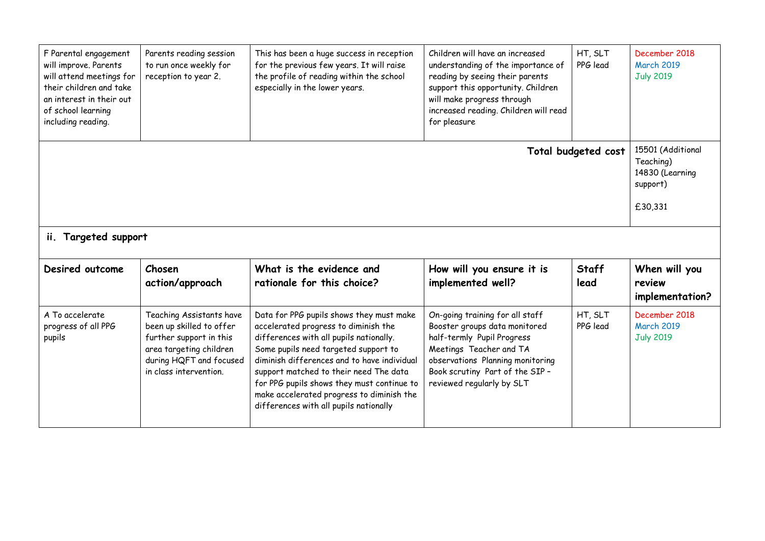| F Parental engagement<br>will improve. Parents<br>will attend meetings for<br>their children and take<br>an interest in their out<br>of school learning<br>including reading. | Parents reading session<br>to run once weekly for<br>reception to year 2.                                                                                       | This has been a huge success in reception<br>for the previous few years. It will raise<br>the profile of reading within the school<br>especially in the lower years.                                                                                                                                                                                                                              | Children will have an increased<br>understanding of the importance of<br>reading by seeing their parents<br>support this opportunity. Children<br>will make progress through<br>increased reading. Children will read<br>for pleasure | HT, SLT<br>PPG lead  | December 2018<br><b>March 2019</b><br><b>July 2019</b> |
|-------------------------------------------------------------------------------------------------------------------------------------------------------------------------------|-----------------------------------------------------------------------------------------------------------------------------------------------------------------|---------------------------------------------------------------------------------------------------------------------------------------------------------------------------------------------------------------------------------------------------------------------------------------------------------------------------------------------------------------------------------------------------|---------------------------------------------------------------------------------------------------------------------------------------------------------------------------------------------------------------------------------------|----------------------|--------------------------------------------------------|
| Total budgeted cost                                                                                                                                                           |                                                                                                                                                                 |                                                                                                                                                                                                                                                                                                                                                                                                   |                                                                                                                                                                                                                                       |                      |                                                        |
| ii. Targeted support                                                                                                                                                          |                                                                                                                                                                 |                                                                                                                                                                                                                                                                                                                                                                                                   |                                                                                                                                                                                                                                       |                      |                                                        |
| Desired outcome                                                                                                                                                               | Chosen<br>action/approach                                                                                                                                       | What is the evidence and<br>rationale for this choice?                                                                                                                                                                                                                                                                                                                                            | How will you ensure it is<br>implemented well?                                                                                                                                                                                        | <b>Staff</b><br>lead | When will you<br>review<br>implementation?             |
| A To accelerate<br>progress of all PPG<br>pupils                                                                                                                              | Teaching Assistants have<br>been up skilled to offer<br>further support in this<br>area targeting children<br>during HQFT and focused<br>in class intervention. | Data for PPG pupils shows they must make<br>accelerated progress to diminish the<br>differences with all pupils nationally.<br>Some pupils need targeted support to<br>diminish differences and to have individual<br>support matched to their need The data<br>for PPG pupils shows they must continue to<br>make accelerated progress to diminish the<br>differences with all pupils nationally | On-going training for all staff<br>Booster groups data monitored<br>half-termly Pupil Progress<br>Meetings Teacher and TA<br>observations Planning monitoring<br>Book scrutiny Part of the SIP -<br>reviewed regularly by SLT         | HT, SLT<br>PPG lead  | December 2018<br><b>March 2019</b><br><b>July 2019</b> |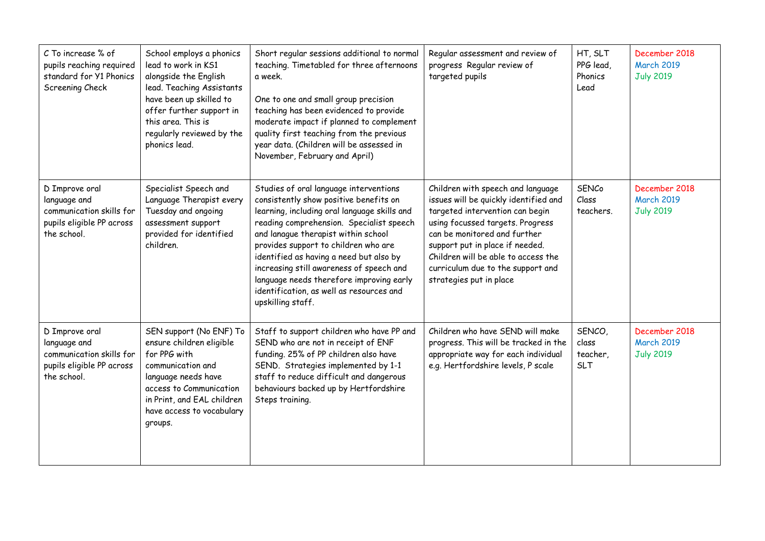| C To increase % of<br>pupils reaching required<br>standard for Y1 Phonics<br>Screening Check           | School employs a phonics<br>lead to work in KS1<br>alongside the English<br>lead. Teaching Assistants<br>have been up skilled to<br>offer further support in<br>this area. This is<br>regularly reviewed by the<br>phonics lead. | Short regular sessions additional to normal<br>teaching. Timetabled for three afternoons<br>a week.<br>One to one and small group precision<br>teaching has been evidenced to provide<br>moderate impact if planned to complement<br>quality first teaching from the previous<br>year data. (Children will be assessed in<br>November, February and April)                                                                                                      | Regular assessment and review of<br>progress Regular review of<br>targeted pupils                                                                                                                                                                                                                                           | HT, SLT<br>PPG lead,<br>Phonics<br>Lead   | December 2018<br><b>March 2019</b><br><b>July 2019</b> |
|--------------------------------------------------------------------------------------------------------|----------------------------------------------------------------------------------------------------------------------------------------------------------------------------------------------------------------------------------|-----------------------------------------------------------------------------------------------------------------------------------------------------------------------------------------------------------------------------------------------------------------------------------------------------------------------------------------------------------------------------------------------------------------------------------------------------------------|-----------------------------------------------------------------------------------------------------------------------------------------------------------------------------------------------------------------------------------------------------------------------------------------------------------------------------|-------------------------------------------|--------------------------------------------------------|
| D Improve oral<br>language and<br>communication skills for<br>pupils eligible PP across<br>the school. | Specialist Speech and<br>Language Therapist every<br>Tuesday and ongoing<br>assessment support<br>provided for identified<br>children.                                                                                           | Studies of oral language interventions<br>consistently show positive benefits on<br>learning, including oral language skills and<br>reading comprehension. Specialist speech<br>and lanague therapist within school<br>provides support to children who are<br>identified as having a need but also by<br>increasing still awareness of speech and<br>language needs therefore improving early<br>identification, as well as resources and<br>upskilling staff. | Children with speech and language<br>issues will be quickly identified and<br>targeted intervention can begin<br>using focussed targets. Progress<br>can be monitored and further<br>support put in place if needed.<br>Children will be able to access the<br>curriculum due to the support and<br>strategies put in place | <b>SENCo</b><br>Class<br>teachers.        | December 2018<br><b>March 2019</b><br><b>July 2019</b> |
| D Improve oral<br>language and<br>communication skills for<br>pupils eligible PP across<br>the school. | SEN support (No ENF) To<br>ensure children eligible<br>for PPG with<br>communication and<br>language needs have<br>access to Communication<br>in Print, and EAL children<br>have access to vocabulary<br>groups.                 | Staff to support children who have PP and<br>SEND who are not in receipt of ENF<br>funding. 25% of PP children also have<br>SEND. Strategies implemented by 1-1<br>staff to reduce difficult and dangerous<br>behaviours backed up by Hertfordshire<br>Steps training.                                                                                                                                                                                          | Children who have SEND will make<br>progress. This will be tracked in the<br>appropriate way for each individual<br>e.g. Hertfordshire levels, P scale                                                                                                                                                                      | SENCO,<br>class<br>teacher,<br><b>SLT</b> | December 2018<br><b>March 2019</b><br><b>July 2019</b> |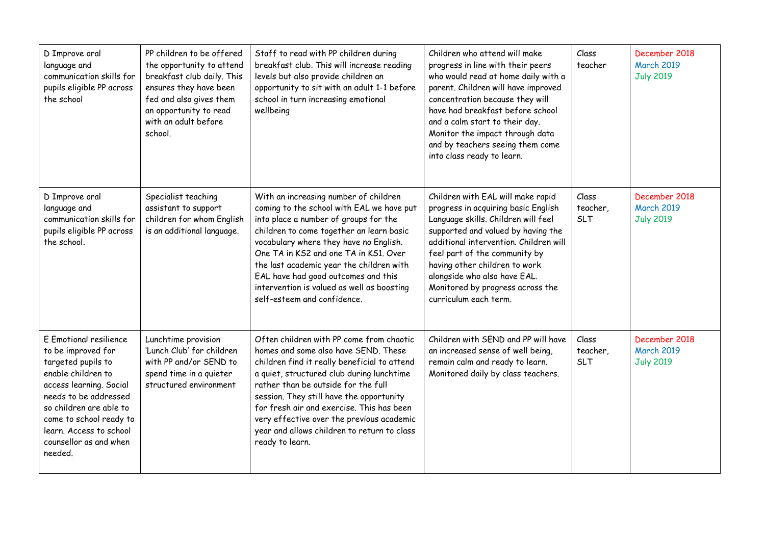| D Improve oral<br>language and<br>communication skills for<br>pupils eligible PP across<br>the school                                                                                                                                                              | PP children to be offered<br>the opportunity to attend<br>breakfast club daily. This<br>ensures they have been<br>fed and also gives them<br>an opportunity to read<br>with an adult before<br>school. | Staff to read with PP children during<br>breakfast club. This will increase reading<br>levels but also provide children an<br>opportunity to sit with an adult 1-1 before<br>school in turn increasing emotional<br>wellbeing                                                                                                                                                                                                | Children who attend will make<br>progress in line with their peers<br>who would read at home daily with a<br>parent. Children will have improved<br>concentration because they will<br>have had breakfast before school<br>and a calm start to their day.<br>Monitor the impact through data<br>and by teachers seeing them come<br>into class ready to learn. | Class<br>teacher                | December 2018<br><b>March 2019</b><br><b>July 2019</b> |
|--------------------------------------------------------------------------------------------------------------------------------------------------------------------------------------------------------------------------------------------------------------------|--------------------------------------------------------------------------------------------------------------------------------------------------------------------------------------------------------|------------------------------------------------------------------------------------------------------------------------------------------------------------------------------------------------------------------------------------------------------------------------------------------------------------------------------------------------------------------------------------------------------------------------------|----------------------------------------------------------------------------------------------------------------------------------------------------------------------------------------------------------------------------------------------------------------------------------------------------------------------------------------------------------------|---------------------------------|--------------------------------------------------------|
| D Improve oral<br>language and<br>communication skills for<br>pupils eligible PP across<br>the school.                                                                                                                                                             | Specialist teaching<br>assistant to support<br>children for whom English<br>is an additional language.                                                                                                 | With an increasing number of children<br>coming to the school with EAL we have put<br>into place a number of groups for the<br>children to come together an learn basic<br>vocabulary where they have no English.<br>One TA in KS2 and one TA in KS1. Over<br>the last academic year the children with<br>EAL have had good outcomes and this<br>intervention is valued as well as boosting<br>self-esteem and confidence.   | Children with EAL will make rapid<br>progress in acquiring basic English<br>Language skills. Children will feel<br>supported and valued by having the<br>additional intervention. Children will<br>feel part of the community by<br>having other children to work<br>alongside who also have EAL.<br>Monitored by progress across the<br>curriculum each term. | Class<br>teacher,<br><b>SLT</b> | December 2018<br><b>March 2019</b><br><b>July 2019</b> |
| E Emotional resilience<br>to be improved for<br>targeted pupils to<br>enable children to<br>access learning. Social<br>needs to be addressed<br>so children are able to<br>come to school ready to<br>learn. Access to school<br>counsellor as and when<br>needed. | Lunchtime provision<br>'Lunch Club' for children<br>with PP and/or SEND to<br>spend time in a quieter<br>structured environment                                                                        | Often children with PP come from chaotic<br>homes and some also have SEND. These<br>children find it really beneficial to attend<br>a quiet, structured club during lunchtime<br>rather than be outside for the full<br>session. They still have the opportunity<br>for fresh air and exercise. This has been<br>very effective over the previous academic<br>year and allows children to return to class<br>ready to learn. | Children with SEND and PP will have<br>an increased sense of well being,<br>remain calm and ready to learn.<br>Monitored daily by class teachers.                                                                                                                                                                                                              | Class<br>teacher,<br><b>SLT</b> | December 2018<br><b>March 2019</b><br><b>July 2019</b> |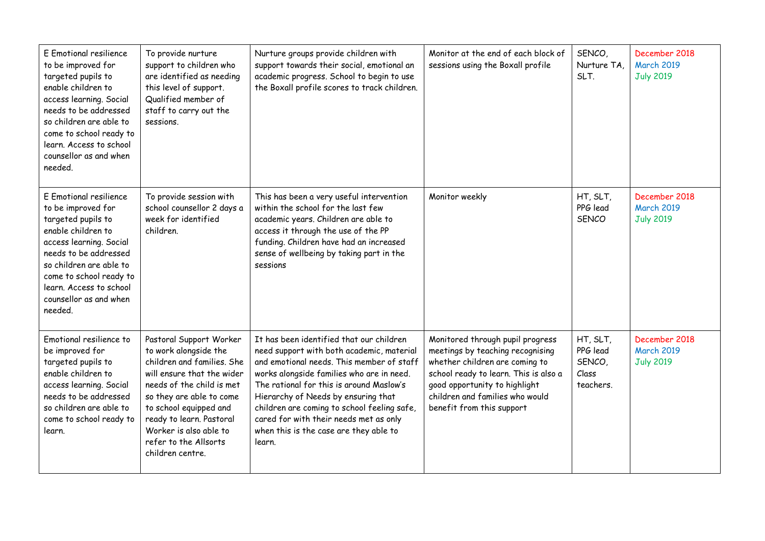| E Emotional resilience<br>to be improved for<br>targeted pupils to<br>enable children to<br>access learning. Social<br>needs to be addressed<br>so children are able to<br>come to school ready to<br>learn. Access to school<br>counsellor as and when<br>needed. | To provide nurture<br>support to children who<br>are identified as needing<br>this level of support.<br>Qualified member of<br>staff to carry out the<br>sessions.                                                                                                                                 | Nurture groups provide children with<br>support towards their social, emotional an<br>academic progress. School to begin to use<br>the Boxall profile scores to track children.                                                                                                                                                                                                                                 | Monitor at the end of each block of<br>sessions using the Boxall profile                                                                                                                                                                         | SENCO,<br>Nurture TA,<br>SLT.                        | December 2018<br><b>March 2019</b><br><b>July 2019</b> |
|--------------------------------------------------------------------------------------------------------------------------------------------------------------------------------------------------------------------------------------------------------------------|----------------------------------------------------------------------------------------------------------------------------------------------------------------------------------------------------------------------------------------------------------------------------------------------------|-----------------------------------------------------------------------------------------------------------------------------------------------------------------------------------------------------------------------------------------------------------------------------------------------------------------------------------------------------------------------------------------------------------------|--------------------------------------------------------------------------------------------------------------------------------------------------------------------------------------------------------------------------------------------------|------------------------------------------------------|--------------------------------------------------------|
| E Emotional resilience<br>to be improved for<br>targeted pupils to<br>enable children to<br>access learning. Social<br>needs to be addressed<br>so children are able to<br>come to school ready to<br>learn. Access to school<br>counsellor as and when<br>needed. | To provide session with<br>school counsellor 2 days a<br>week for identified<br>children.                                                                                                                                                                                                          | This has been a very useful intervention<br>within the school for the last few<br>academic years. Children are able to<br>access it through the use of the PP<br>funding. Children have had an increased<br>sense of wellbeing by taking part in the<br>sessions                                                                                                                                                | Monitor weekly                                                                                                                                                                                                                                   | HT, SLT,<br>PPG lead<br><b>SENCO</b>                 | December 2018<br><b>March 2019</b><br><b>July 2019</b> |
| Emotional resilience to<br>be improved for<br>targeted pupils to<br>enable children to<br>access learning. Social<br>needs to be addressed<br>so children are able to<br>come to school ready to<br>learn.                                                         | Pastoral Support Worker<br>to work alongside the<br>children and families. She<br>will ensure that the wider<br>needs of the child is met<br>so they are able to come<br>to school equipped and<br>ready to learn. Pastoral<br>Worker is also able to<br>refer to the Allsorts<br>children centre. | It has been identified that our children<br>need support with both academic, material<br>and emotional needs. This member of staff<br>works alongside families who are in need.<br>The rational for this is around Maslow's<br>Hierarchy of Needs by ensuring that<br>children are coming to school feeling safe,<br>cared for with their needs met as only<br>when this is the case are they able to<br>learn. | Monitored through pupil progress<br>meetings by teaching recognising<br>whether children are coming to<br>school ready to learn. This is also a<br>good opportunity to highlight<br>children and families who would<br>benefit from this support | HT, SLT,<br>PPG lead<br>SENCO,<br>Class<br>teachers. | December 2018<br><b>March 2019</b><br><b>July 2019</b> |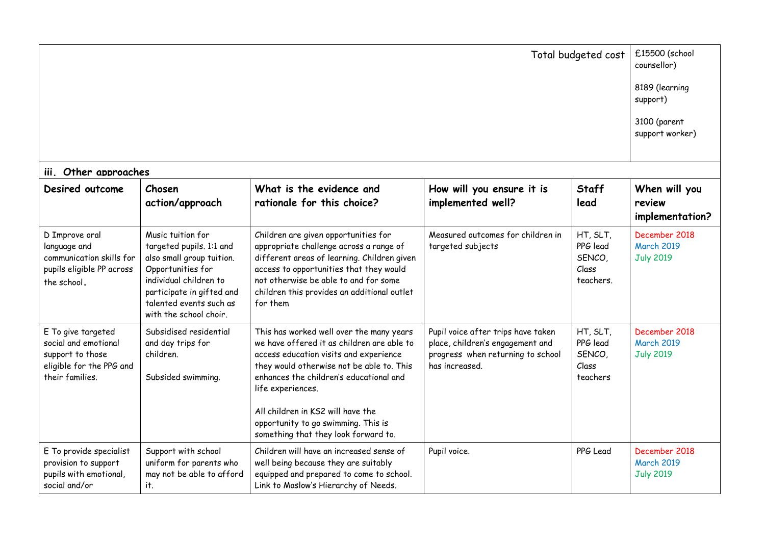| Total budgeted cost                                                                                           |                                                                                                                                                                                                             |                                                                                                                                                                                                                                                                                                                                                                   |                                                                                                                               |                                                      | £15500 (school<br>counsellor)                          |
|---------------------------------------------------------------------------------------------------------------|-------------------------------------------------------------------------------------------------------------------------------------------------------------------------------------------------------------|-------------------------------------------------------------------------------------------------------------------------------------------------------------------------------------------------------------------------------------------------------------------------------------------------------------------------------------------------------------------|-------------------------------------------------------------------------------------------------------------------------------|------------------------------------------------------|--------------------------------------------------------|
|                                                                                                               |                                                                                                                                                                                                             |                                                                                                                                                                                                                                                                                                                                                                   |                                                                                                                               |                                                      | 8189 (learning<br>support)                             |
|                                                                                                               |                                                                                                                                                                                                             |                                                                                                                                                                                                                                                                                                                                                                   |                                                                                                                               |                                                      | 3100 (parent<br>support worker)                        |
| iii. Other approaches                                                                                         |                                                                                                                                                                                                             |                                                                                                                                                                                                                                                                                                                                                                   |                                                                                                                               |                                                      |                                                        |
| Desired outcome                                                                                               | Chosen<br>action/approach                                                                                                                                                                                   | What is the evidence and<br>rationale for this choice?                                                                                                                                                                                                                                                                                                            | How will you ensure it is<br>implemented well?                                                                                | <b>Staff</b><br>lead                                 | When will you<br>review<br>implementation?             |
| D Improve oral<br>language and<br>communication skills for<br>pupils eligible PP across<br>the school.        | Music tuition for<br>targeted pupils. 1:1 and<br>also small group tuition.<br>Opportunities for<br>individual children to<br>participate in gifted and<br>talented events such as<br>with the school choir. | Children are given opportunities for<br>appropriate challenge across a range of<br>different areas of learning. Children given<br>access to opportunities that they would<br>not otherwise be able to and for some<br>children this provides an additional outlet<br>for them                                                                                     | Measured outcomes for children in<br>targeted subjects                                                                        | HT, SLT,<br>PPG lead<br>SENCO,<br>Class<br>teachers. | December 2018<br><b>March 2019</b><br><b>July 2019</b> |
| E To give targeted<br>social and emotional<br>support to those<br>eligible for the PPG and<br>their families. | Subsidised residential<br>and day trips for<br>children.<br>Subsided swimming.                                                                                                                              | This has worked well over the many years<br>we have offered it as children are able to<br>access education visits and experience<br>they would otherwise not be able to. This<br>enhances the children's educational and<br>life experiences.<br>All children in KS2 will have the<br>opportunity to go swimming. This is<br>something that they look forward to. | Pupil voice after trips have taken<br>place, children's engagement and<br>progress when returning to school<br>has increased. | HT, SLT,<br>PPG lead<br>SENCO,<br>Class<br>teachers  | December 2018<br><b>March 2019</b><br><b>July 2019</b> |
| E To provide specialist<br>provision to support<br>pupils with emotional,<br>social and/or                    | Support with school<br>uniform for parents who<br>may not be able to afford<br>it.                                                                                                                          | Children will have an increased sense of<br>well being because they are suitably<br>equipped and prepared to come to school.<br>Link to Maslow's Hierarchy of Needs.                                                                                                                                                                                              | Pupil voice.                                                                                                                  | PPG Lead                                             | December 2018<br><b>March 2019</b><br><b>July 2019</b> |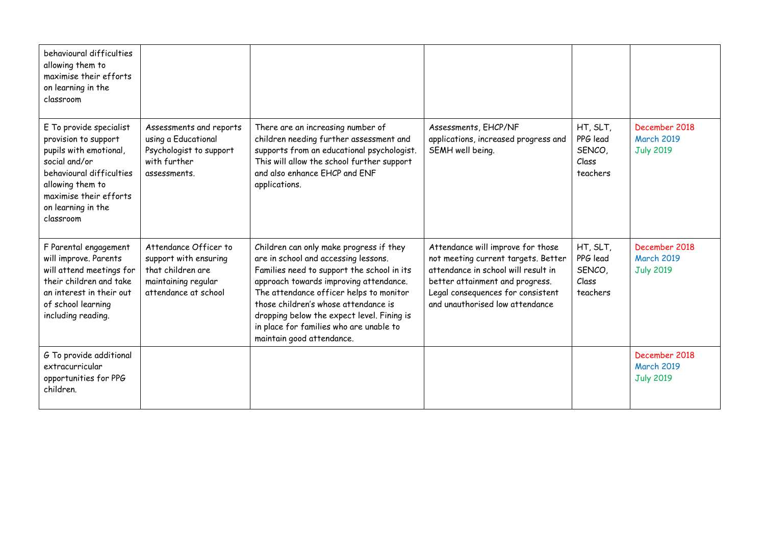| behavioural difficulties<br>allowing them to<br>maximise their efforts<br>on learning in the<br>classroom                                                                                               |                                                                                                                    |                                                                                                                                                                                                                                                                                                                                                                                  |                                                                                                                                                                                                                            |                                                     |                                                        |
|---------------------------------------------------------------------------------------------------------------------------------------------------------------------------------------------------------|--------------------------------------------------------------------------------------------------------------------|----------------------------------------------------------------------------------------------------------------------------------------------------------------------------------------------------------------------------------------------------------------------------------------------------------------------------------------------------------------------------------|----------------------------------------------------------------------------------------------------------------------------------------------------------------------------------------------------------------------------|-----------------------------------------------------|--------------------------------------------------------|
| E To provide specialist<br>provision to support<br>pupils with emotional,<br>social and/or<br>behavioural difficulties<br>allowing them to<br>maximise their efforts<br>on learning in the<br>classroom | Assessments and reports<br>using a Educational<br>Psychologist to support<br>with further<br>assessments.          | There are an increasing number of<br>children needing further assessment and<br>supports from an educational psychologist.<br>This will allow the school further support<br>and also enhance EHCP and ENF<br>applications.                                                                                                                                                       | Assessments, EHCP/NF<br>applications, increased progress and<br>SEMH well being.                                                                                                                                           | HT, SLT,<br>PPG lead<br>SENCO,<br>Class<br>teachers | December 2018<br><b>March 2019</b><br><b>July 2019</b> |
| F Parental engagement<br>will improve. Parents<br>will attend meetings for<br>their children and take<br>an interest in their out<br>of school learning<br>including reading.                           | Attendance Officer to<br>support with ensuring<br>that children are<br>maintaining regular<br>attendance at school | Children can only make progress if they<br>are in school and accessing lessons.<br>Families need to support the school in its<br>approach towards improving attendance.<br>The attendance officer helps to monitor<br>those children's whose attendance is<br>dropping below the expect level. Fining is<br>in place for families who are unable to<br>maintain good attendance. | Attendance will improve for those<br>not meeting current targets. Better<br>attendance in school will result in<br>better attainment and progress.<br>Legal consequences for consistent<br>and unauthorised low attendance | HT, SLT,<br>PPG lead<br>SENCO,<br>Class<br>teachers | December 2018<br><b>March 2019</b><br><b>July 2019</b> |
| G To provide additional<br>extracurricular<br>opportunities for PPG<br>children.                                                                                                                        |                                                                                                                    |                                                                                                                                                                                                                                                                                                                                                                                  |                                                                                                                                                                                                                            |                                                     | December 2018<br><b>March 2019</b><br><b>July 2019</b> |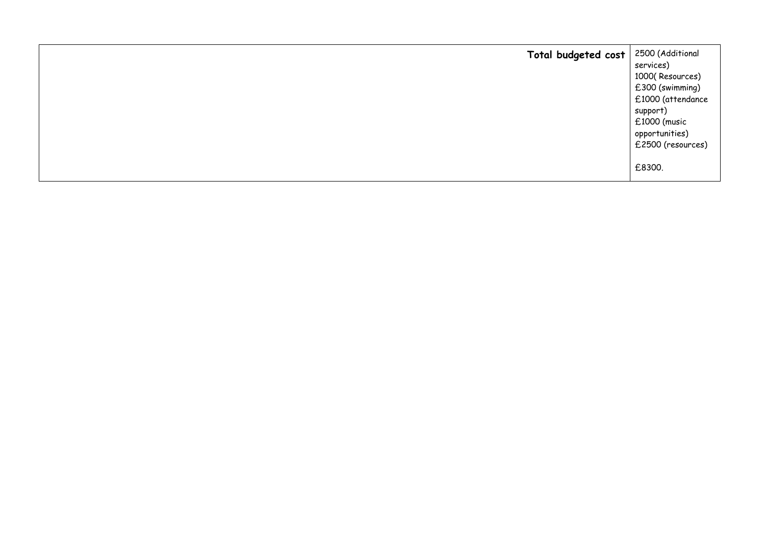| Total budgeted cost | 2500 (Additional  |
|---------------------|-------------------|
|                     | services)         |
|                     | 1000(Resources)   |
|                     | £300 (swimming)   |
|                     | £1000 (attendance |
|                     | support)          |
|                     | £1000 (music      |
|                     | opportunities)    |
|                     | £2500 (resources) |
|                     | £8300.            |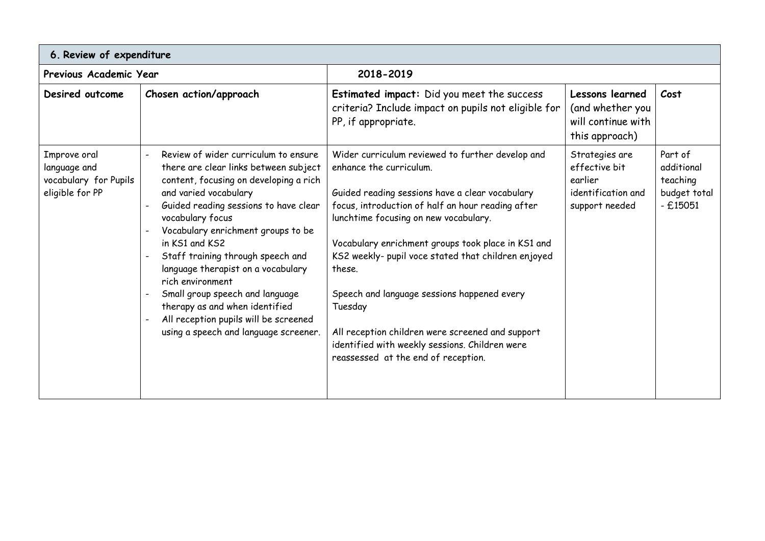| 6. Review of expenditure                                                 |                                                                                                                                                                                                                                                                                                                                                                                                                                                                                                                             |                                                                                                                                                                                                                                                                                                                                                                                                                                                                                                                                                            |                                                                                    |                                                                |  |
|--------------------------------------------------------------------------|-----------------------------------------------------------------------------------------------------------------------------------------------------------------------------------------------------------------------------------------------------------------------------------------------------------------------------------------------------------------------------------------------------------------------------------------------------------------------------------------------------------------------------|------------------------------------------------------------------------------------------------------------------------------------------------------------------------------------------------------------------------------------------------------------------------------------------------------------------------------------------------------------------------------------------------------------------------------------------------------------------------------------------------------------------------------------------------------------|------------------------------------------------------------------------------------|----------------------------------------------------------------|--|
| Previous Academic Year                                                   |                                                                                                                                                                                                                                                                                                                                                                                                                                                                                                                             | 2018-2019                                                                                                                                                                                                                                                                                                                                                                                                                                                                                                                                                  |                                                                                    |                                                                |  |
| Desired outcome                                                          | Chosen action/approach                                                                                                                                                                                                                                                                                                                                                                                                                                                                                                      | Estimated impact: Did you meet the success<br>criteria? Include impact on pupils not eligible for<br>PP, if appropriate.                                                                                                                                                                                                                                                                                                                                                                                                                                   | Lessons learned<br>(and whether you<br>will continue with<br>this approach)        | Cost                                                           |  |
| Improve oral<br>language and<br>vocabulary for Pupils<br>eligible for PP | Review of wider curriculum to ensure<br>there are clear links between subject<br>content, focusing on developing a rich<br>and varied vocabulary<br>Guided reading sessions to have clear<br>vocabulary focus<br>Vocabulary enrichment groups to be<br>in KS1 and KS2<br>Staff training through speech and<br>language therapist on a vocabulary<br>rich environment<br>Small group speech and language<br>therapy as and when identified<br>All reception pupils will be screened<br>using a speech and language screener. | Wider curriculum reviewed to further develop and<br>enhance the curriculum.<br>Guided reading sessions have a clear vocabulary<br>focus, introduction of half an hour reading after<br>lunchtime focusing on new vocabulary.<br>Vocabulary enrichment groups took place in KS1 and<br>KS2 weekly- pupil voce stated that children enjoyed<br>these.<br>Speech and language sessions happened every<br>Tuesday<br>All reception children were screened and support<br>identified with weekly sessions. Children were<br>reassessed at the end of reception. | Strategies are<br>effective bit<br>earlier<br>identification and<br>support needed | Part of<br>additional<br>teaching<br>budget total<br>$-£15051$ |  |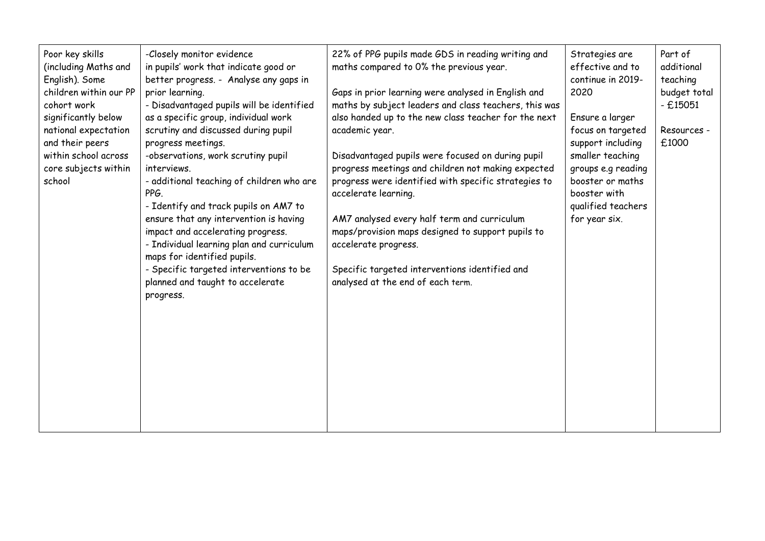| Poor key skills<br>(including Maths and<br>English). Some<br>children within our PP<br>cohort work<br>significantly below<br>national expectation<br>and their peers<br>within school across<br>core subjects within<br>school | -Closely monitor evidence<br>in pupils' work that indicate good or<br>better progress. - Analyse any gaps in<br>prior learning.<br>- Disadvantaged pupils will be identified<br>as a specific group, individual work<br>scrutiny and discussed during pupil<br>progress meetings.<br>-observations, work scrutiny pupil<br>interviews.<br>- additional teaching of children who are<br>PPG.<br>- Identify and track pupils on AM7 to<br>ensure that any intervention is having<br>impact and accelerating progress.<br>- Individual learning plan and curriculum<br>maps for identified pupils.<br>- Specific targeted interventions to be<br>planned and taught to accelerate<br>progress. | 22% of PPG pupils made GDS in reading writing and<br>maths compared to 0% the previous year.<br>Gaps in prior learning were analysed in English and<br>maths by subject leaders and class teachers, this was<br>also handed up to the new class teacher for the next<br>academic year.<br>Disadvantaged pupils were focused on during pupil<br>progress meetings and children not making expected<br>progress were identified with specific strategies to<br>accelerate learning.<br>AM7 analysed every half term and curriculum<br>maps/provision maps designed to support pupils to<br>accelerate progress.<br>Specific targeted interventions identified and<br>analysed at the end of each term. | Strategies are<br>effective and to<br>continue in 2019-<br>2020<br>Ensure a larger<br>focus on targeted<br>support including<br>smaller teaching<br>groups e.g reading<br>booster or maths<br>booster with<br>qualified teachers<br>for year six. | Part of<br>additional<br>teaching<br>budget total<br>$-£15051$<br>Resources -<br>£1000 |
|--------------------------------------------------------------------------------------------------------------------------------------------------------------------------------------------------------------------------------|---------------------------------------------------------------------------------------------------------------------------------------------------------------------------------------------------------------------------------------------------------------------------------------------------------------------------------------------------------------------------------------------------------------------------------------------------------------------------------------------------------------------------------------------------------------------------------------------------------------------------------------------------------------------------------------------|------------------------------------------------------------------------------------------------------------------------------------------------------------------------------------------------------------------------------------------------------------------------------------------------------------------------------------------------------------------------------------------------------------------------------------------------------------------------------------------------------------------------------------------------------------------------------------------------------------------------------------------------------------------------------------------------------|---------------------------------------------------------------------------------------------------------------------------------------------------------------------------------------------------------------------------------------------------|----------------------------------------------------------------------------------------|
|--------------------------------------------------------------------------------------------------------------------------------------------------------------------------------------------------------------------------------|---------------------------------------------------------------------------------------------------------------------------------------------------------------------------------------------------------------------------------------------------------------------------------------------------------------------------------------------------------------------------------------------------------------------------------------------------------------------------------------------------------------------------------------------------------------------------------------------------------------------------------------------------------------------------------------------|------------------------------------------------------------------------------------------------------------------------------------------------------------------------------------------------------------------------------------------------------------------------------------------------------------------------------------------------------------------------------------------------------------------------------------------------------------------------------------------------------------------------------------------------------------------------------------------------------------------------------------------------------------------------------------------------------|---------------------------------------------------------------------------------------------------------------------------------------------------------------------------------------------------------------------------------------------------|----------------------------------------------------------------------------------------|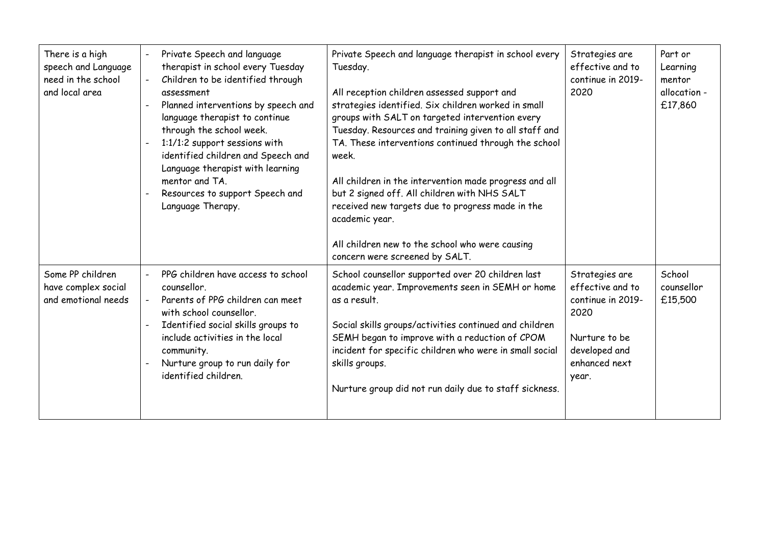| There is a high<br>speech and Language<br>need in the school<br>and local area | Private Speech and language<br>therapist in school every Tuesday<br>Children to be identified through<br>assessment<br>Planned interventions by speech and<br>language therapist to continue<br>through the school week.<br>1:1/1:2 support sessions with<br>identified children and Speech and<br>Language therapist with learning<br>mentor and TA.<br>Resources to support Speech and<br>Language Therapy. | Private Speech and language therapist in school every<br>Tuesday.<br>All reception children assessed support and<br>strategies identified. Six children worked in small<br>groups with SALT on targeted intervention every<br>Tuesday. Resources and training given to all staff and<br>TA. These interventions continued through the school<br>week.<br>All children in the intervention made progress and all<br>but 2 signed off. All children with NHS SALT<br>received new targets due to progress made in the<br>academic year.<br>All children new to the school who were causing<br>concern were screened by SALT. | Strategies are<br>effective and to<br>continue in 2019-<br>2020                                                             | Part or<br>Learning<br>mentor<br>allocation -<br>£17,860 |
|--------------------------------------------------------------------------------|---------------------------------------------------------------------------------------------------------------------------------------------------------------------------------------------------------------------------------------------------------------------------------------------------------------------------------------------------------------------------------------------------------------|----------------------------------------------------------------------------------------------------------------------------------------------------------------------------------------------------------------------------------------------------------------------------------------------------------------------------------------------------------------------------------------------------------------------------------------------------------------------------------------------------------------------------------------------------------------------------------------------------------------------------|-----------------------------------------------------------------------------------------------------------------------------|----------------------------------------------------------|
| Some PP children<br>have complex social<br>and emotional needs                 | PPG children have access to school<br>counsellor.<br>Parents of PPG children can meet<br>with school counsellor.<br>Identified social skills groups to<br>include activities in the local<br>community.<br>Nurture group to run daily for<br>identified children.                                                                                                                                             | School counsellor supported over 20 children last<br>academic year. Improvements seen in SEMH or home<br>as a result.<br>Social skills groups/activities continued and children<br>SEMH began to improve with a reduction of CPOM<br>incident for specific children who were in small social<br>skills groups.<br>Nurture group did not run daily due to staff sickness.                                                                                                                                                                                                                                                   | Strategies are<br>effective and to<br>continue in 2019-<br>2020<br>Nurture to be<br>developed and<br>enhanced next<br>year. | School<br>counsellor<br>£15,500                          |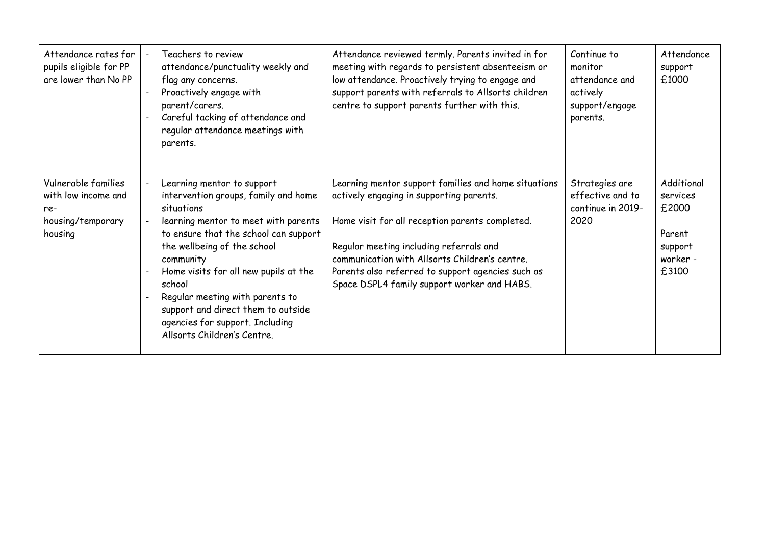| Attendance rates for<br>pupils eligible for PP<br>are lower than No PP            | Teachers to review<br>attendance/punctuality weekly and<br>flag any concerns.<br>Proactively engage with<br>parent/carers.<br>Careful tacking of attendance and<br>regular attendance meetings with<br>parents.                                                                                                                                                                                             | Attendance reviewed termly. Parents invited in for<br>meeting with regards to persistent absenteeism or<br>low attendance. Proactively trying to engage and<br>support parents with referrals to Allsorts children<br>centre to support parents further with this.                                                                                   | Continue to<br>monitor<br>attendance and<br>actively<br>support/engage<br>parents. | Attendance<br>support<br>£1000                                            |
|-----------------------------------------------------------------------------------|-------------------------------------------------------------------------------------------------------------------------------------------------------------------------------------------------------------------------------------------------------------------------------------------------------------------------------------------------------------------------------------------------------------|------------------------------------------------------------------------------------------------------------------------------------------------------------------------------------------------------------------------------------------------------------------------------------------------------------------------------------------------------|------------------------------------------------------------------------------------|---------------------------------------------------------------------------|
| Vulnerable families<br>with low income and<br>re-<br>housing/temporary<br>housing | Learning mentor to support<br>intervention groups, family and home<br>situations<br>learning mentor to meet with parents<br>to ensure that the school can support<br>the wellbeing of the school<br>community<br>Home visits for all new pupils at the<br>school<br>Regular meeting with parents to<br>support and direct them to outside<br>agencies for support. Including<br>Allsorts Children's Centre. | Learning mentor support families and home situations<br>actively engaging in supporting parents.<br>Home visit for all reception parents completed.<br>Regular meeting including referrals and<br>communication with Allsorts Children's centre.<br>Parents also referred to support agencies such as<br>Space DSPL4 family support worker and HABS. | Strategies are<br>effective and to<br>continue in 2019-<br>2020                    | Additional<br>services<br>£2000<br>Parent<br>support<br>worker -<br>£3100 |